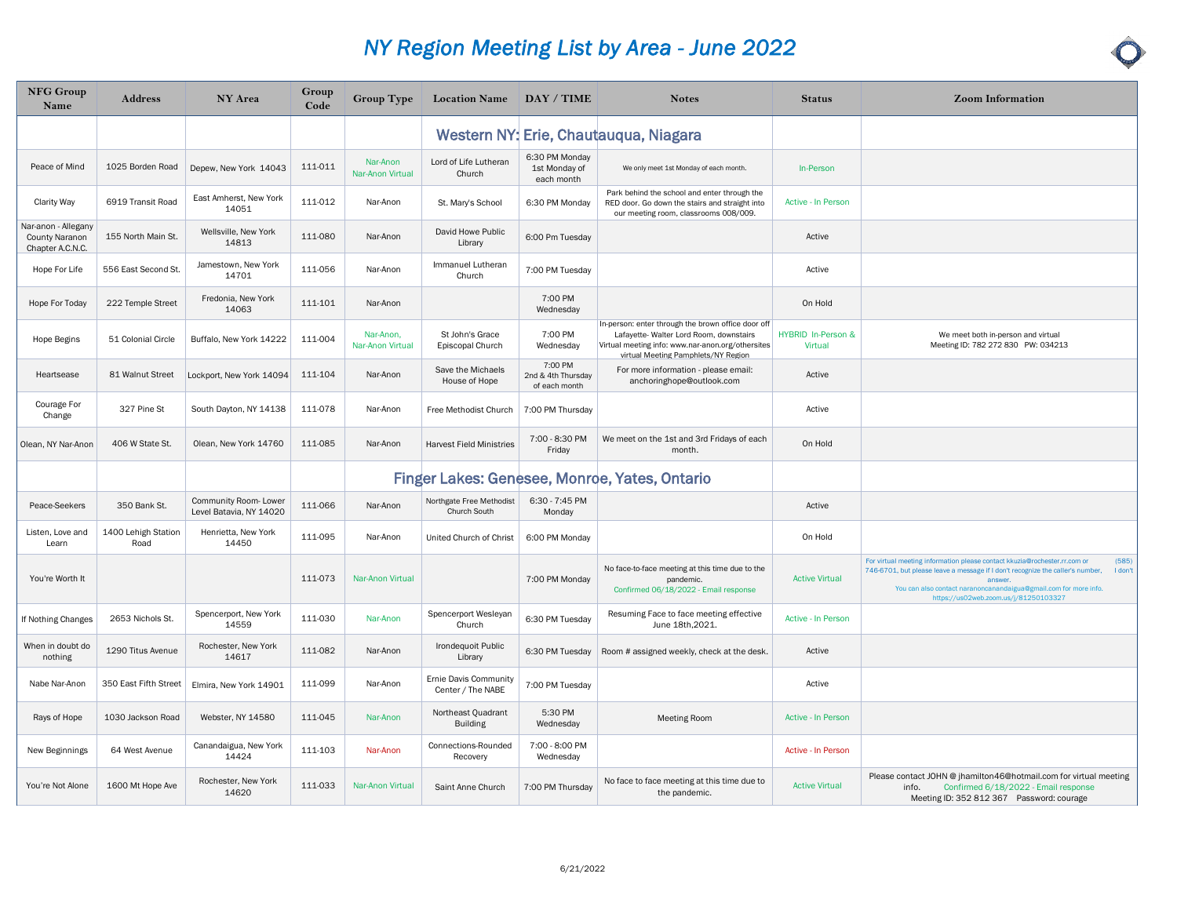| <b>NFG Group</b><br>Name                                  | <b>Address</b>              | NY Area                                         | Group<br>Code | <b>Group Type</b>             | Location Name   DAY / TIME                        |                                                | <b>Notes</b>                                                                                                                                                                              | <b>Status</b>                 | <b>Zoom Information</b>                                                                                                                                                                                                                                                                                |
|-----------------------------------------------------------|-----------------------------|-------------------------------------------------|---------------|-------------------------------|---------------------------------------------------|------------------------------------------------|-------------------------------------------------------------------------------------------------------------------------------------------------------------------------------------------|-------------------------------|--------------------------------------------------------------------------------------------------------------------------------------------------------------------------------------------------------------------------------------------------------------------------------------------------------|
|                                                           |                             |                                                 |               |                               |                                                   |                                                | Western NY: Erie, Chautauqua, Niagara                                                                                                                                                     |                               |                                                                                                                                                                                                                                                                                                        |
| Peace of Mind                                             | 1025 Borden Road            | Depew, New York 14043                           | 111-011       | Nar-Anon<br>Nar-Anon Virtual  | Lord of Life Lutheran<br>Church                   | 6:30 PM Monday<br>1st Monday of<br>each month  | We only meet 1st Monday of each month.                                                                                                                                                    | In-Person                     |                                                                                                                                                                                                                                                                                                        |
| <b>Clarity Way</b>                                        | 6919 Transit Road           | East Amherst, New York<br>14051                 | 111-012       | Nar-Anon                      | St. Mary's School                                 | 6:30 PM Monday                                 | Park behind the school and enter through the<br>RED door. Go down the stairs and straight into<br>our meeting room, classrooms 008/009.                                                   | Active - In Person            |                                                                                                                                                                                                                                                                                                        |
| Nar-anon - Allegany<br>County Naranon<br>Chapter A.C.N.C. | 155 North Main St.          | Wellsville, New York<br>14813                   | 111-080       | Nar-Anon                      | David Howe Public<br>Library                      | 6:00 Pm Tuesday                                |                                                                                                                                                                                           | Active                        |                                                                                                                                                                                                                                                                                                        |
| Hope For Life                                             | 556 East Second St.         | Jamestown, New York<br>14701                    | 111-056       | Nar-Anon                      | Immanuel Lutheran<br>Church                       | 7:00 PM Tuesday                                |                                                                                                                                                                                           | Active                        |                                                                                                                                                                                                                                                                                                        |
| Hope For Today                                            | 222 Temple Street           | Fredonia, New York<br>14063                     | 111-101       | Nar-Anon                      |                                                   | 7:00 PM<br>Wednesday                           |                                                                                                                                                                                           | On Hold                       |                                                                                                                                                                                                                                                                                                        |
| Hope Begins                                               | 51 Colonial Circle          | Buffalo, New York 14222                         | 111-004       | Nar-Anon,<br>Nar-Anon Virtual | St John's Grace<br>Episcopal Church               | 7:00 PM<br>Wednesday                           | In-person: enter through the brown office door off<br>Lafayette- Walter Lord Room, downstairs<br>Virtual meeting info: www.nar-anon.org/othersites<br>virtual Meeting Pamphlets/NY Region | HYBRID In-Person &<br>Virtual | We meet both in-person and virtual<br>Meeting ID: 782 272 830 PW: 034213                                                                                                                                                                                                                               |
| Heartsease                                                | 81 Walnut Street            | Lockport, New York 14094                        | 111-104       | Nar-Anon                      | Save the Michaels<br>House of Hope                | 7:00 PM<br>2nd & 4th Thursday<br>of each month | For more information - please email:<br>anchoringhope@outlook.com                                                                                                                         | Active                        |                                                                                                                                                                                                                                                                                                        |
| Courage For<br>Change                                     | 327 Pine St                 | South Dayton, NY 14138                          | 111-078       | Nar-Anon                      | Free Methodist Church                             | 7:00 PM Thursday                               |                                                                                                                                                                                           | Active                        |                                                                                                                                                                                                                                                                                                        |
| Olean, NY Nar-Anon                                        | 406 W State St              | Olean, New York 14760                           | 111-085       | Nar-Anon                      | <b>Harvest Field Ministries</b>                   | 7:00 - 8:30 PM<br>Friday                       | We meet on the 1st and 3rd Fridays of each<br>month.                                                                                                                                      | On Hold                       |                                                                                                                                                                                                                                                                                                        |
|                                                           |                             |                                                 |               |                               |                                                   |                                                | Finger Lakes: Genesee, Monroe, Yates, Ontario                                                                                                                                             |                               |                                                                                                                                                                                                                                                                                                        |
| Peace-Seekers                                             | 350 Bank St.                | Community Room-Lower<br>Level Batavia, NY 14020 | 111-066       | Nar-Anon                      | Northgate Free Methodist<br>Church South          | 6:30 - 7:45 PM<br>Monday                       |                                                                                                                                                                                           | Active                        |                                                                                                                                                                                                                                                                                                        |
| Listen, Love and<br>Learn                                 | 1400 Lehigh Station<br>Road | Henrietta, New York<br>14450                    | 111-095       | Nar-Anon                      | United Church of Christ                           | 6:00 PM Monday                                 |                                                                                                                                                                                           | On Hold                       |                                                                                                                                                                                                                                                                                                        |
| You're Worth It                                           |                             |                                                 | 111-073       | Nar-Anon Virtual              |                                                   | 7:00 PM Monday                                 | No face-to-face meeting at this time due to the<br>pandemic.<br>Confirmed 06/18/2022 - Email response                                                                                     | <b>Active Virtual</b>         | For virtual meeting information please contact kkuzia@rochester.rr.com or<br>(585)<br>746-6701, but please leave a message if I don't recognize the caller's number,<br>I don't<br>answei<br>You can also contact naranoncanandaigua@gmail.com for more info.<br>https://us02web.zoom.us/j/81250103327 |
| If Nothing Changes                                        | 2653 Nichols St.            | Spencerport, New York<br>14559                  | 111-030       | Nar-Anon                      | Spencerport Wesleyan<br>Church                    | 6:30 PM Tuesday                                | Resuming Face to face meeting effective<br>June 18th, 2021.                                                                                                                               | <b>Active - In Person</b>     |                                                                                                                                                                                                                                                                                                        |
| When in doubt do<br>nothing                               | 1290 Titus Avenue           | Rochester, New York<br>14617                    | 111-082       | Nar-Anon                      | Irondequoit Public<br>Library                     | 6:30 PM Tuesday                                | Room # assigned weekly, check at the desk.                                                                                                                                                | Active                        |                                                                                                                                                                                                                                                                                                        |
| Nabe Nar-Anon                                             | 350 East Fifth Street       | Elmira, New York 14901                          | 111-099       | Nar-Anon                      | <b>Ernie Davis Community</b><br>Center / The NABE | 7:00 PM Tuesday                                |                                                                                                                                                                                           | Active                        |                                                                                                                                                                                                                                                                                                        |
| Rays of Hope                                              | 1030 Jackson Road           | Webster, NY 14580                               | 111-045       | Nar-Anon                      | Northeast Quadrant<br><b>Building</b>             | 5:30 PM<br>Wednesday                           | <b>Meeting Room</b>                                                                                                                                                                       | Active - In Person            |                                                                                                                                                                                                                                                                                                        |
| New Beginnings                                            | 64 West Avenue              | Canandaigua, New York<br>14424                  | 111-103       | Nar-Anon                      | Connections-Rounded<br>Recovery                   | 7:00 - 8:00 PM<br>Wednesday                    |                                                                                                                                                                                           | Active - In Person            |                                                                                                                                                                                                                                                                                                        |
| You're Not Alone                                          | 1600 Mt Hope Ave            | Rochester, New York<br>14620                    | 111-033       | Nar-Anon Virtual              | Saint Anne Church                                 | 7:00 PM Thursday                               | No face to face meeting at this time due to<br>the pandemic.                                                                                                                              | <b>Active Virtual</b>         | Please contact JOHN @ jhamilton46@hotmail.com for virtual meeting<br>Confirmed 6/18/2022 - Email response<br>info.<br>Meeting ID: 352 812 367 Password: courage                                                                                                                                        |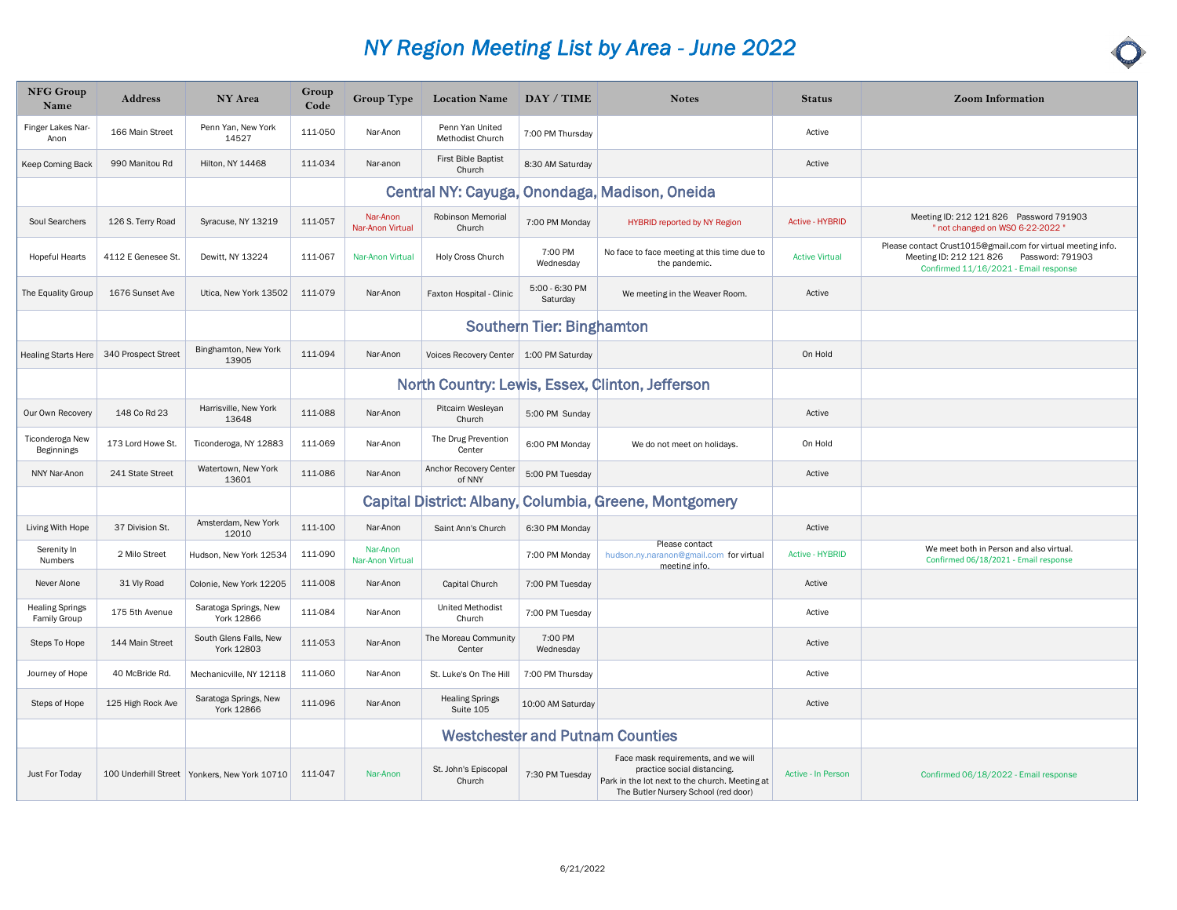| <b>NFG Group</b><br>Name                      | <b>Address</b>      | <b>NY Area</b>                                 | Group<br>Code | <b>Group Type</b>            | <b>Location Name</b>                      | DAY / TIME                 | <b>Notes</b>                                                                                                                                                 | <b>Status</b>          | <b>Zoom Information</b>                                                                                                                           |
|-----------------------------------------------|---------------------|------------------------------------------------|---------------|------------------------------|-------------------------------------------|----------------------------|--------------------------------------------------------------------------------------------------------------------------------------------------------------|------------------------|---------------------------------------------------------------------------------------------------------------------------------------------------|
| Finger Lakes Nar-<br>Anon                     | 166 Main Street     | Penn Yan, New York<br>14527                    | 111-050       | Nar-Anon                     | Penn Yan United<br>Methodist Church       | 7:00 PM Thursday           |                                                                                                                                                              | Active                 |                                                                                                                                                   |
| Keep Coming Back                              | 990 Manitou Rd      | <b>Hilton, NY 14468</b>                        | 111-034       | Nar-anon                     | First Bible Baptist<br>Church             | 8:30 AM Saturday           |                                                                                                                                                              | Active                 |                                                                                                                                                   |
|                                               |                     |                                                |               |                              |                                           |                            | Central NY: Cayuga, Onondaga, Madison, Oneida                                                                                                                |                        |                                                                                                                                                   |
| Soul Searchers                                | 126 S. Terry Road   | Syracuse, NY 13219                             | 111-057       | Nar-Anon<br>Nar-Anon Virtual | Robinson Memorial<br>Church               | 7:00 PM Monday             | <b>HYBRID reported by NY Region</b>                                                                                                                          | <b>Active - HYBRID</b> | Meeting ID: 212 121 826 Password 791903<br>" not changed on WSO 6-22-2022"                                                                        |
| <b>Hopeful Hearts</b>                         | 4112 E Genesee St.  | Dewitt, NY 13224                               | 111-067       | Nar-Anon Virtual             | Holy Cross Church                         | 7:00 PM<br>Wednesday       | No face to face meeting at this time due to<br>the pandemic.                                                                                                 | <b>Active Virtual</b>  | Please contact Crust1015@gmail.com for virtual meeting info.<br>Meeting ID: 212 121 826 Password: 791903<br>Confirmed 11/16/2021 - Email response |
| The Equality Group                            | 1676 Sunset Ave     | Utica, New York 13502                          | 111-079       | Nar-Anon                     | Faxton Hospital - Clinic                  | 5:00 - 6:30 PM<br>Saturday | We meeting in the Weaver Room.                                                                                                                               | Active                 |                                                                                                                                                   |
|                                               |                     |                                                |               |                              |                                           | Southern Tier: Binghamton  |                                                                                                                                                              |                        |                                                                                                                                                   |
| <b>Healing Starts Here</b>                    | 340 Prospect Street | Binghamton, New York<br>13905                  | 111-094       | Nar-Anon                     | Voices Recovery Center   1:00 PM Saturday |                            |                                                                                                                                                              | On Hold                |                                                                                                                                                   |
|                                               |                     |                                                |               |                              |                                           |                            | North Country: Lewis, Essex, Clinton, Jefferson                                                                                                              |                        |                                                                                                                                                   |
| Our Own Recovery                              | 148 Co Rd 23        | Harrisville, New York<br>13648                 | 111-088       | Nar-Anon                     | Pitcairn Wesleyan<br>Church               | 5:00 PM Sunday             |                                                                                                                                                              | Active                 |                                                                                                                                                   |
| Ticonderoga New<br>Beginnings                 | 173 Lord Howe St.   | Ticonderoga, NY 12883                          | 111-069       | Nar-Anon                     | The Drug Prevention<br>Center             | 6:00 PM Monday             | We do not meet on holidays.                                                                                                                                  | On Hold                |                                                                                                                                                   |
| NNY Nar-Anon                                  | 241 State Street    | Watertown, New York<br>13601                   | 111-086       | Nar-Anon                     | Anchor Recovery Center<br>of NNY          | 5:00 PM Tuesday            |                                                                                                                                                              | Active                 |                                                                                                                                                   |
|                                               |                     |                                                |               |                              |                                           |                            | Capital District: Albany, Columbia, Greene, Montgomery                                                                                                       |                        |                                                                                                                                                   |
| Living With Hope                              | 37 Division St.     | Amsterdam, New York<br>12010                   | 111-100       | Nar-Anon                     | Saint Ann's Church                        | 6:30 PM Monday             |                                                                                                                                                              | Active                 |                                                                                                                                                   |
| Serenity In<br>Numbers                        | 2 Milo Street       | Hudson, New York 12534                         | 111-090       | Nar-Anon<br>Nar-Anon Virtual |                                           | 7:00 PM Monday             | Please contact<br>hudson.ny.naranon@gmail.com for virtual<br>meeting info                                                                                    | <b>Active - HYBRID</b> | We meet both in Person and also virtual.<br>Confirmed 06/18/2021 - Email response                                                                 |
| Never Alone                                   | 31 Vly Road         | Colonie, New York 12205                        | 111-008       | Nar-Anon                     | Capital Church                            | 7:00 PM Tuesday            |                                                                                                                                                              | Active                 |                                                                                                                                                   |
| <b>Healing Springs</b><br><b>Family Group</b> | 175 5th Avenue      | Saratoga Springs, New<br>York 12866            | 111-084       | Nar-Anon                     | <b>United Methodist</b><br>Church         | 7:00 PM Tuesday            |                                                                                                                                                              | Active                 |                                                                                                                                                   |
| Steps To Hope                                 | 144 Main Street     | South Glens Falls, New<br>York 12803           | 111-053       | Nar-Anon                     | The Moreau Community<br>Center            | 7:00 PM<br>Wednesday       |                                                                                                                                                              | Active                 |                                                                                                                                                   |
| Journey of Hope                               | 40 McBride Rd.      | Mechanicville, NY 12118                        | 111-060       | Nar-Anon                     | St. Luke's On The Hill                    | 7:00 PM Thursday           |                                                                                                                                                              | Active                 |                                                                                                                                                   |
| Steps of Hope                                 | 125 High Rock Ave   | Saratoga Springs, New<br>York 12866            | 111-096       | Nar-Anon                     | <b>Healing Springs</b><br>Suite 105       | 10:00 AM Saturday          |                                                                                                                                                              | Active                 |                                                                                                                                                   |
|                                               |                     |                                                |               |                              |                                           |                            | <b>Westchester and Putnam Counties</b>                                                                                                                       |                        |                                                                                                                                                   |
| Just For Today                                |                     | 100 Underhill Street   Yonkers, New York 10710 | 111-047       | Nar-Anon                     | St. John's Episcopal<br>Church            | 7:30 PM Tuesday            | Face mask requirements, and we will<br>practice social distancing.<br>Park in the lot next to the church. Meeting at<br>The Butler Nursery School (red door) | Active - In Person     | Confirmed 06/18/2022 - Email response                                                                                                             |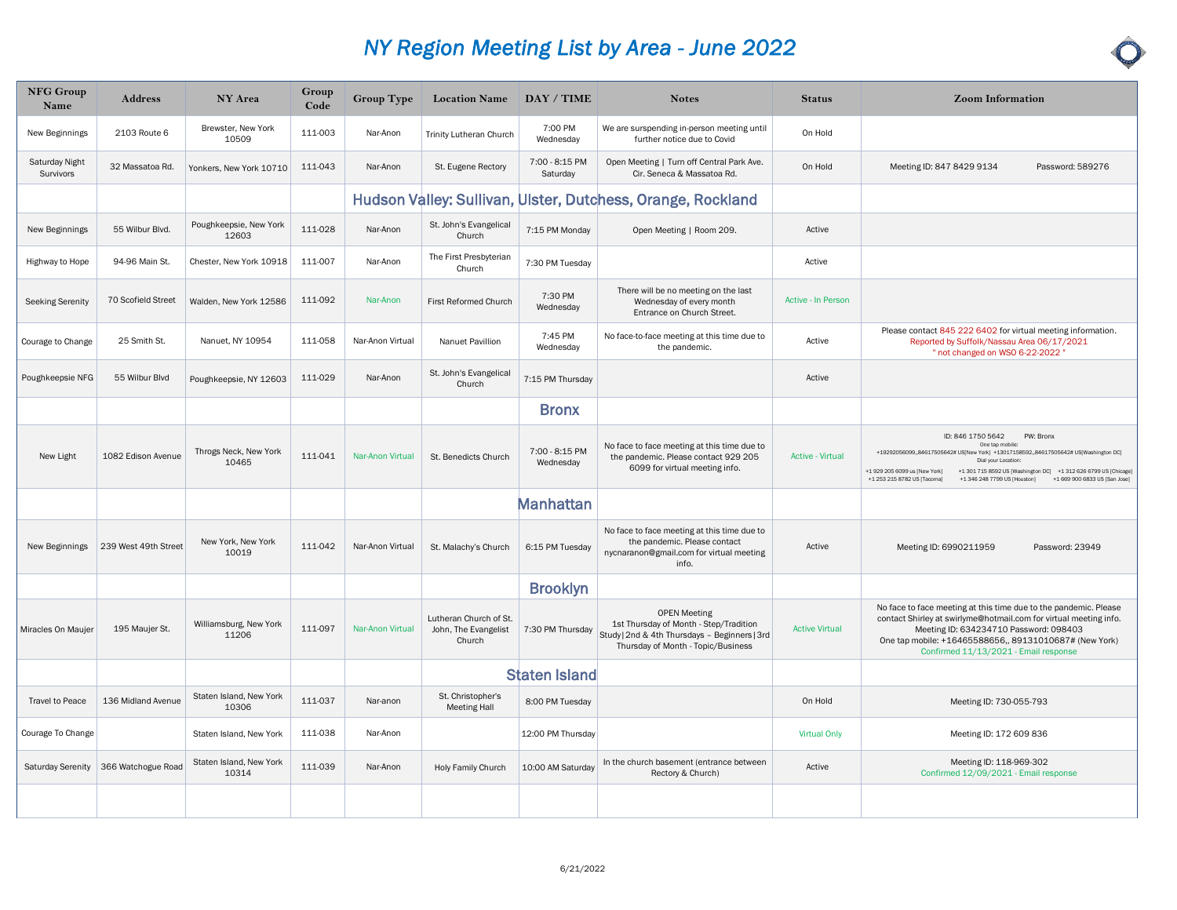| <b>NFG Group</b><br>Name           | <b>Address</b>       | <b>NY Area</b>                   | Group<br>Code | <b>Group Type</b> | <b>Location Name</b>                                     | DAY / TIME                  | <b>Notes</b>                                                                                                                                         | <b>Status</b>           | <b>Zoom Information</b>                                                                                                                                                                                                                                                                                                                                            |
|------------------------------------|----------------------|----------------------------------|---------------|-------------------|----------------------------------------------------------|-----------------------------|------------------------------------------------------------------------------------------------------------------------------------------------------|-------------------------|--------------------------------------------------------------------------------------------------------------------------------------------------------------------------------------------------------------------------------------------------------------------------------------------------------------------------------------------------------------------|
| New Beginnings                     | 2103 Route 6         | Brewster, New York<br>10509      | 111-003       | Nar-Anon          | Trinity Lutheran Church                                  | 7:00 PM<br>Wednesday        | We are surspending in-person meeting until<br>further notice due to Covid                                                                            | On Hold                 |                                                                                                                                                                                                                                                                                                                                                                    |
| <b>Saturday Night</b><br>Survivors | 32 Massatoa Rd.      | Yonkers, New York 10710          | 111-043       | Nar-Anon          | St. Eugene Rectory                                       | 7:00 - 8:15 PM<br>Saturday  | Open Meeting   Turn off Central Park Ave.<br>Cir. Seneca & Massatoa Rd.                                                                              | On Hold                 | Password: 589276<br>Meeting ID: 847 8429 9134                                                                                                                                                                                                                                                                                                                      |
|                                    |                      |                                  |               |                   |                                                          |                             | Hudson Valley: Sullivan, Ulster, Dutchess, Orange, Rockland                                                                                          |                         |                                                                                                                                                                                                                                                                                                                                                                    |
| New Beginnings                     | 55 Wilbur Blvd.      | Poughkeepsie, New York<br>12603  | 111-028       | Nar-Anon          | St. John's Evangelical<br>Church                         | 7:15 PM Monday              | Open Meeting   Room 209.                                                                                                                             | Active                  |                                                                                                                                                                                                                                                                                                                                                                    |
| Highway to Hope                    | 94-96 Main St.       | Chester, New York 10918          | 111-007       | Nar-Anon          | The First Presbyterian<br>Church                         | 7:30 PM Tuesday             |                                                                                                                                                      | Active                  |                                                                                                                                                                                                                                                                                                                                                                    |
| Seeking Serenity                   | 70 Scofield Street   | Walden, New York 12586           | 111-092       | Nar-Anon          | First Reformed Church                                    | 7:30 PM<br>Wednesday        | There will be no meeting on the last<br>Wednesday of every month<br>Entrance on Church Street.                                                       | Active - In Person      |                                                                                                                                                                                                                                                                                                                                                                    |
| Courage to Change                  | 25 Smith St.         | Nanuet, NY 10954                 | 111-058       | Nar-Anon Virtual  | Nanuet Pavillion                                         | 7:45 PM<br>Wednesday        | No face-to-face meeting at this time due to<br>the pandemic.                                                                                         | Active                  | Please contact 845 222 6402 for virtual meeting information.<br>Reported by Suffolk/Nassau Area 06/17/2021<br>" not changed on WSO 6-22-2022"                                                                                                                                                                                                                      |
| Poughkeepsie NFG                   | 55 Wilbur Blvd       | Poughkeepsie, NY 12603           | 111-029       | Nar-Anon          | St. John's Evangelical<br>Church                         | 7:15 PM Thursday            |                                                                                                                                                      | Active                  |                                                                                                                                                                                                                                                                                                                                                                    |
|                                    |                      |                                  |               |                   |                                                          | <b>Bronx</b>                |                                                                                                                                                      |                         |                                                                                                                                                                                                                                                                                                                                                                    |
| New Light                          | 1082 Edison Avenue   | Throgs Neck, New York<br>10465   | 111-041       | Nar-Anon Virtual  | St. Benedicts Church                                     | 7:00 - 8:15 PM<br>Wednesday | No face to face meeting at this time due to<br>the pandemic. Please contact 929 205<br>6099 for virtual meeting info.                                | <b>Active - Virtual</b> | ID: 846 1750 5642<br>PW: Bronx<br>One tap mobile<br>+19292056099,,84617505642# US[New York] +13017158592,,84617505642# US[Washington DC]<br>Dial your Location<br>+1 929 205 6099 us [New York]<br>+1 301 715 8592 US [Washington DC] +1 312 626 6799 US [Chicage]<br>+1 253 215 8782 US [Tacoma]<br>+1 346 248 7799 US [Houston]<br>+1 669 900 6833 US (San Jose) |
|                                    |                      |                                  |               |                   |                                                          | <b>Manhattan</b>            |                                                                                                                                                      |                         |                                                                                                                                                                                                                                                                                                                                                                    |
| New Beginnings                     | 239 West 49th Street | New York, New York<br>10019      | 111-042       | Nar-Anon Virtual  | St. Malachy's Church                                     | 6:15 PM Tuesday             | No face to face meeting at this time due to<br>the pandemic. Please contact<br>nycnaranon@gmail.com for virtual meeting<br>info.                     | Active                  | Meeting ID: 6990211959<br>Password: 23949                                                                                                                                                                                                                                                                                                                          |
|                                    |                      |                                  |               |                   |                                                          | <b>Brooklyn</b>             |                                                                                                                                                      |                         |                                                                                                                                                                                                                                                                                                                                                                    |
| Miracles On Maujer                 | 195 Maujer St.       | Williamsburg, New York<br>11206  | 111-097       | Nar-Anon Virtual  | Lutheran Church of St.<br>John, The Evangelist<br>Church | 7:30 PM Thursday            | <b>OPEN Meeting</b><br>1st Thursday of Month - Step/Tradition<br>Study   2nd & 4th Thursdays - Beginners   3rd<br>Thursday of Month - Topic/Business | <b>Active Virtual</b>   | No face to face meeting at this time due to the pandemic. Please<br>contact Shirley at swirlyme@hotmail.com for virtual meeting info.<br>Meeting ID: 634234710 Password: 098403<br>One tap mobile: +16465588656,, 89131010687# (New York)<br>Confirmed 11/13/2021 - Email response                                                                                 |
|                                    |                      |                                  |               |                   |                                                          | <b>Staten Island</b>        |                                                                                                                                                      |                         |                                                                                                                                                                                                                                                                                                                                                                    |
| <b>Travel to Peace</b>             | 136 Midland Avenue   | Staten Island, New York<br>10306 | 111-037       | Nar-anon          | St. Christopher's<br><b>Meeting Hall</b>                 | 8:00 PM Tuesday             |                                                                                                                                                      | On Hold                 | Meeting ID: 730-055-793                                                                                                                                                                                                                                                                                                                                            |
| Courage To Change                  |                      | Staten Island, New York          | 111-038       | Nar-Anon          |                                                          | 12:00 PM Thursday           |                                                                                                                                                      | <b>Virtual Only</b>     | Meeting ID: 172 609 836                                                                                                                                                                                                                                                                                                                                            |
| Saturday Serenity                  | 366 Watchogue Road   | Staten Island, New York<br>10314 | 111-039       | Nar-Anon          | Holy Family Church                                       | 10:00 AM Saturday           | In the church basement (entrance between<br>Rectory & Church)                                                                                        | Active                  | Meeting ID: 118-969-302<br>Confirmed 12/09/2021 - Email response                                                                                                                                                                                                                                                                                                   |
|                                    |                      |                                  |               |                   |                                                          |                             |                                                                                                                                                      |                         |                                                                                                                                                                                                                                                                                                                                                                    |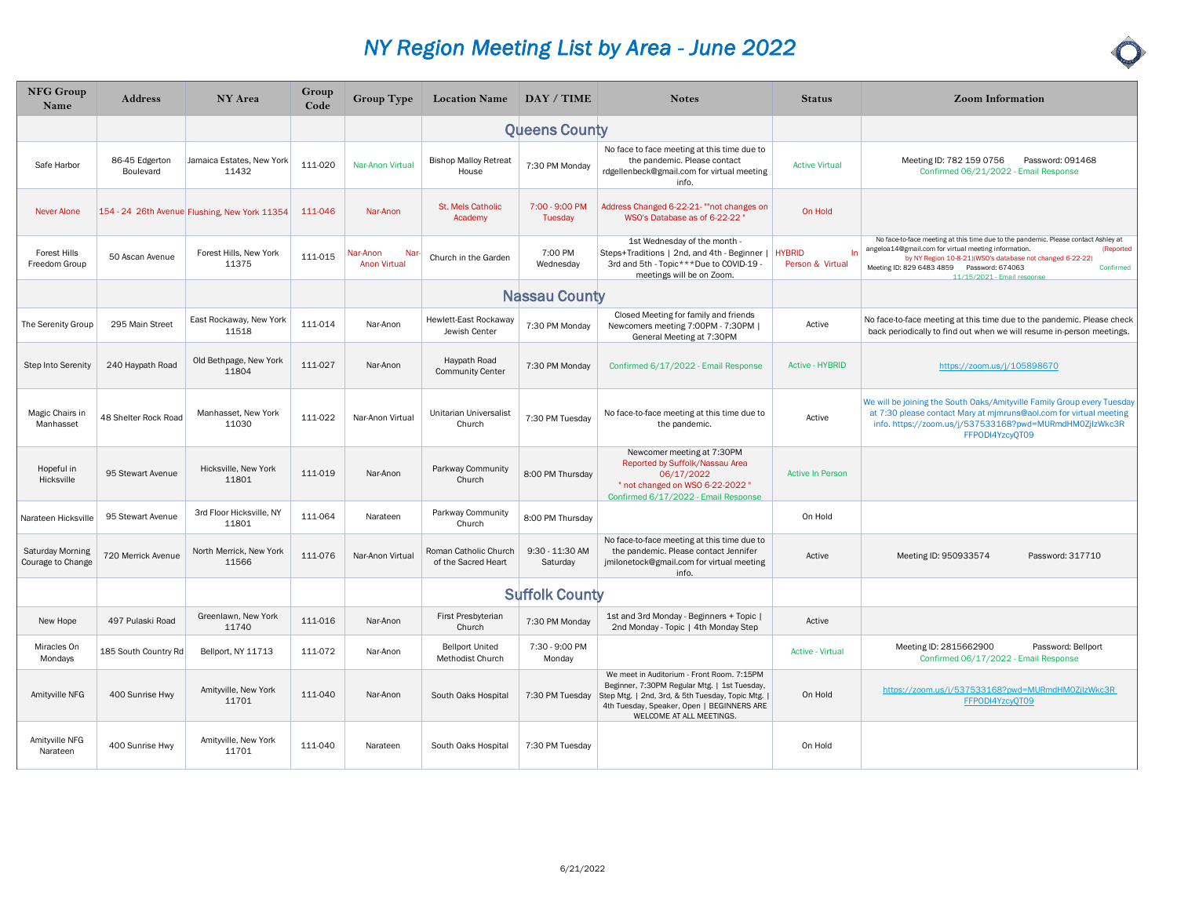| <b>NFG Group</b><br>Name                     | <b>Address</b>              | NY Area                                       | Group<br>Code | <b>Group Type</b>                      | Location Name   DAY / TIME                   |                             | <b>Notes</b>                                                                                                                                                                                                              | <b>Status</b>                           | <b>Zoom Information</b>                                                                                                                                                                                                                                                                                        |
|----------------------------------------------|-----------------------------|-----------------------------------------------|---------------|----------------------------------------|----------------------------------------------|-----------------------------|---------------------------------------------------------------------------------------------------------------------------------------------------------------------------------------------------------------------------|-----------------------------------------|----------------------------------------------------------------------------------------------------------------------------------------------------------------------------------------------------------------------------------------------------------------------------------------------------------------|
|                                              |                             |                                               |               |                                        |                                              | <b>Queens County</b>        |                                                                                                                                                                                                                           |                                         |                                                                                                                                                                                                                                                                                                                |
| Safe Harbor                                  | 86-45 Edgerton<br>Boulevard | Jamaica Estates, New York<br>11432            | 111-020       | Nar-Anon Virtual                       | <b>Bishop Malloy Retreat</b><br>House        | 7:30 PM Monday              | No face to face meeting at this time due to<br>the pandemic. Please contact<br>rdgellenbeck@gmail.com for virtual meeting<br>info.                                                                                        | <b>Active Virtual</b>                   | Meeting ID: 782 159 0756<br>Password: 091468<br>Confirmed 06/21/2022 - Email Response                                                                                                                                                                                                                          |
| <b>Never Alone</b>                           |                             | 154 - 24 26th Avenue Flushing, New York 11354 | 111-046       | Nar-Anon                               | St. Mels Catholic<br>Academy                 | 7:00 - 9:00 PM<br>Tuesday   | Address Changed 6-22-21- ""not changes on<br>WSO's Database as of 6-22-22                                                                                                                                                 | On Hold                                 |                                                                                                                                                                                                                                                                                                                |
| Forest Hills<br>Freedom Group                | 50 Ascan Avenue             | Forest Hills, New York<br>11375               | 111-015       | Nar-Anon<br>Nar<br><b>Anon Virtual</b> | Church in the Garden                         | 7:00 PM<br>Wednesday        | 1st Wednesday of the month -<br>Steps+Traditions   2nd, and 4th - Beginner  <br>3rd and 5th - Topic***Due to COVID-19 -<br>meetings will be on Zoom.                                                                      | <b>HYBRID</b><br>In<br>Person & Virtual | No face-to-face meeting at this time due to the pandemic. Please contact Ashley at<br>angeloa14@gmail.com for virtual meeting information.<br>(Reported<br>by NY Region 10-8-21)(WSO's database not changed 6-22-22)<br>Meeting ID: 829 6483 4859 Password: 674063<br>Confirmed<br>11/15/2021 - Email response |
|                                              |                             |                                               |               |                                        |                                              | <b>Nassau County</b>        |                                                                                                                                                                                                                           |                                         |                                                                                                                                                                                                                                                                                                                |
| The Serenity Group                           | 295 Main Street             | East Rockaway, New York<br>11518              | 111-014       | Nar-Anon                               | Hewlett-East Rockaway<br>Jewish Center       | 7:30 PM Monday              | Closed Meeting for family and friends<br>Newcomers meeting 7:00PM - 7:30PM  <br>General Meeting at 7:30PM                                                                                                                 | Active                                  | No face-to-face meeting at this time due to the pandemic. Please check<br>back periodically to find out when we will resume in-person meetings.                                                                                                                                                                |
| Step Into Serenity                           | 240 Haypath Road            | Old Bethpage, New York<br>11804               | 111-027       | Nar-Anon                               | Haypath Road<br><b>Community Center</b>      | 7:30 PM Monday              | Confirmed 6/17/2022 - Email Response                                                                                                                                                                                      | <b>Active - HYBRID</b>                  | https://zoom.us/j/105898670                                                                                                                                                                                                                                                                                    |
| Magic Chairs in<br>Manhasset                 | 48 Shelter Rock Road        | Manhasset, New York<br>11030                  | 111-022       | Nar-Anon Virtual                       | Unitarian Universalist<br>Church             | 7:30 PM Tuesday             | No face-to-face meeting at this time due to<br>the pandemic.                                                                                                                                                              | Active                                  | We will be joining the South Oaks/Amityville Family Group every Tuesday<br>at 7:30 please contact Mary at mjmruns@aol.com for virtual meeting<br>info. https://zoom.us/j/537533168?pwd=MURmdHM0ZjlzWkc3R<br>FFPODI4YzcvOT09                                                                                    |
| Hopeful in<br>Hicksville                     | 95 Stewart Avenue           | Hicksville, New York<br>11801                 | 111-019       | Nar-Anon                               | Parkway Community<br>Church                  | 8:00 PM Thursday            | Newcomer meeting at 7:30PM<br>Reported by Suffolk/Nassau Area<br>06/17/2022<br>" not changed on WSO 6-22-2022 "<br>Confirmed 6/17/2022 - Email Response                                                                   | <b>Active In Person</b>                 |                                                                                                                                                                                                                                                                                                                |
| Narateen Hicksville                          | 95 Stewart Avenue           | 3rd Floor Hicksville, NY<br>11801             | 111-064       | Narateen                               | Parkway Community<br>Church                  | 8:00 PM Thursday            |                                                                                                                                                                                                                           | On Hold                                 |                                                                                                                                                                                                                                                                                                                |
| <b>Saturday Morning</b><br>Courage to Change | 720 Merrick Avenue          | North Merrick, New York<br>11566              | 111-076       | Nar-Anon Virtual                       | Roman Catholic Church<br>of the Sacred Heart | 9:30 - 11:30 AM<br>Saturday | No face-to-face meeting at this time due to<br>the pandemic. Please contact Jennifer<br>jmilonetock@gmail.com for virtual meeting<br>info.                                                                                | Active                                  | Meeting ID: 950933574<br>Password: 317710                                                                                                                                                                                                                                                                      |
|                                              |                             |                                               |               |                                        |                                              | <b>Suffolk County</b>       |                                                                                                                                                                                                                           |                                         |                                                                                                                                                                                                                                                                                                                |
| New Hope                                     | 497 Pulaski Road            | Greenlawn, New York<br>11740                  | 111-016       | Nar-Anon                               | First Presbyterian<br>Church                 | 7:30 PM Monday              | 1st and 3rd Monday - Beginners + Topic  <br>2nd Monday - Topic   4th Monday Step                                                                                                                                          | Active                                  |                                                                                                                                                                                                                                                                                                                |
| Miracles On<br>Mondays                       | 185 South Country Rd        | Bellport, NY 11713                            | 111-072       | Nar-Anon                               | <b>Bellport United</b><br>Methodist Church   | 7:30 - 9:00 PM<br>Monday    |                                                                                                                                                                                                                           | <b>Active - Virtual</b>                 | Meeting ID: 2815662900<br>Password: Bellport<br>Confirmed 06/17/2022 - Email Response                                                                                                                                                                                                                          |
| Amityville NFG                               | 400 Sunrise Hwy             | Amityville, New York<br>11701                 | 111-040       | Nar-Anon                               | South Oaks Hospital                          | 7:30 PM Tuesday             | We meet in Auditorium - Front Room. 7:15PM<br>Beginner, 7:30PM Regular Mtg.   1st Tuesday,<br>Step Mtg.   2nd, 3rd, & 5th Tuesday, Topic Mtg.  <br>4th Tuesday, Speaker, Open   BEGINNERS ARE<br>WELCOME AT ALL MEETINGS. | On Hold                                 | https://zoom.us/j/537533168?pwd=MURmdHM0ZjlzWkc3R<br>FFPODI4YzcyQT09                                                                                                                                                                                                                                           |
| Amityville NFG<br>Narateen                   | 400 Sunrise Hwy             | Amityville, New York<br>11701                 | 111-040       | Narateen                               | South Oaks Hospital                          | 7:30 PM Tuesday             |                                                                                                                                                                                                                           | On Hold                                 |                                                                                                                                                                                                                                                                                                                |